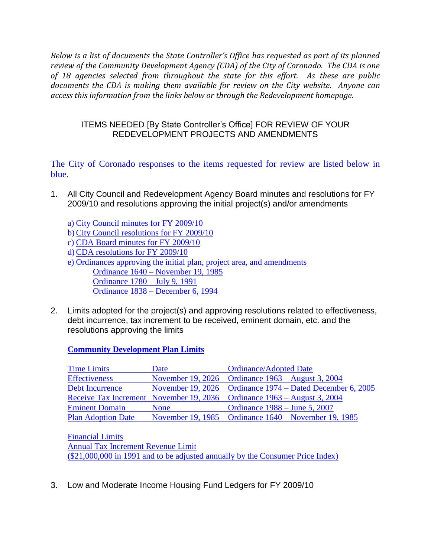*Below is a list of documents the State Controller's Office has requested as part of its planned review of the Community Development Agency (CDA) of the City of Coronado. The CDA is one of 18 agencies selected from throughout the state for this effort. As these are public documents the CDA is making them available for review on the City website. Anyone can access this information from the links below or through the Redevelopment homepage.* 

## ITEMS NEEDED [By State Controller's Office] FOR REVIEW OF YOUR REDEVELOPMENT PROJECTS AND AMENDMENTS

The City of Coronado responses to the items requested for review are listed below in blue.

- 1. All City Council and Redevelopment Agency Board minutes and resolutions for FY 2009/10 and resolutions approving the initial project(s) and/or amendments
	- a) [City Council minutes for FY 2009/10](http://www.coronado.ca.us/egov/apps/document/center.egov?path=browse&id=7&fDD=14-0&Apply.x=8&Apply.y=9)
	- b[\)City Council resolutions](http://www.coronado.ca.us/egov/apps/document/center.egov?path=browse&id=8&fDD=14-0&Apply.x=16&Apply.y=9) for FY 2009/10
	- c) CDA [Board minutes for FY 2009/10](http://www.coronado.ca.us/egov/apps/document/center.egov?path=browse&id=7&fDD=14-0&Apply.x=8&Apply.y=9)
	- d)CDA [resolutions for FY 2009/10](http://www.coronado.ca.us/egov/docs/1296770784_464172.pdf)
	- e) [Ordinances approving the initial plan, project area,](http://www.coronado.ca.us/egov/docs/1297208440_241729.pdf) and amendments Ordinance 1640 – [November 19, 1985](http://www.coronado.ca.us/egov/docs/1297208440_241729.pdf) [Ordinance 1780 –](http://www.coronado.ca.us/egov/docs/1297208440_241729.pdf) July 9, 1991 Ordinance 1838 – [December 6, 1994](http://www.coronado.ca.us/egov/docs/1297208440_241729.pdf)
- 2. Limits adopted for the project(s) and approving resolutions related to effectiveness, debt incurrence, tax increment to be received, eminent domain, etc. and the resolutions approving the limits

**[Community Development Plan Limits](http://www.coronado.ca.us/egov/docs/1297207330_95489.pdf)**

| <b>Time Limits</b>        | Date        | <b>Ordinance/Adopted Date</b>                                           |
|---------------------------|-------------|-------------------------------------------------------------------------|
| <b>Effectiveness</b>      |             | November 19, 2026 Ordinance 1963 – August 3, 2004                       |
| Debt Incurrence           |             | November 19, 2026 Ordinance 1974 – Dated December 6, 2005               |
|                           |             | Receive Tax Increment November 19, 2036 Ordinance 1963 – August 3, 2004 |
| <b>Eminent Domain</b>     | <b>None</b> | Ordinance 1988 – June 5, 2007                                           |
| <b>Plan Adoption Date</b> |             | November 19, 1985 Ordinance 1640 – November 19, 1985                    |

[Financial Limits](http://www.coronado.ca.us/egov/docs/1297207330_95489.pdf) [Annual Tax Increment Revenue Limit](http://www.coronado.ca.us/egov/docs/1297207330_95489.pdf) [\(\\$21,000,000 in 1991 and to be adjusted annually by the Consumer Price Index\)](http://www.coronado.ca.us/egov/docs/1297207330_95489.pdf)

3. Low and Moderate Income Housing Fund Ledgers for FY 2009/10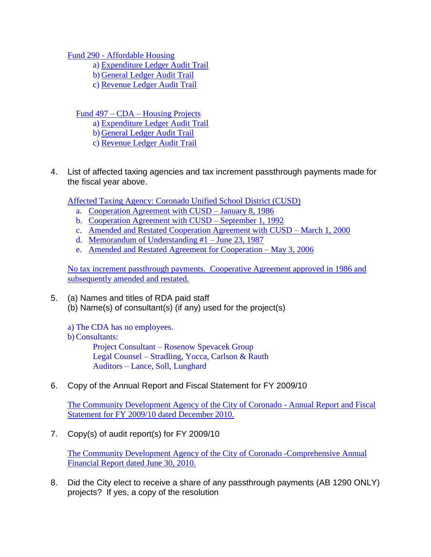Fund 290 - [Affordable Housing](http://www.coronado.ca.us/egov/docs/1296771445_657226.pdf) 

a) Expenditure [Ledger Audit Trail](http://www.coronado.ca.us/egov/docs/1296771445_657226.pdf) 

b) General [Ledger Audit Trail](http://www.coronado.ca.us/egov/docs/1296771445_657226.pdf)

c) Revenue [Ledger Audit Trail](http://www.coronado.ca.us/egov/docs/1296771445_657226.pdf)

Fund 497 – CDA – [Housing Projects](http://www.coronado.ca.us/egov/docs/1296771445_657226.pdf)

a) Expenditure [Ledger Audit Trail](http://www.coronado.ca.us/egov/docs/1296771445_657226.pdf)

- b) General [Ledger Audit Trail](http://www.coronado.ca.us/egov/docs/1296771445_657226.pdf)
- c) Revenue [Ledger Audit Trail](http://www.coronado.ca.us/egov/docs/1296771445_657226.pdf)
- 4. List of affected taxing agencies and tax increment passthrough payments made for the fiscal year above.

Affected Taxing [Agency: Coronado Unified School District](http://www.coronado.ca.us/egov/docs/1296772015_967773.pdf) (CUSD)

- a. [Cooperation Agreement with CUSD –](http://www.coronado.ca.us/egov/docs/1296772015_967773.pdf) January 8, 1986
- b. [Cooperation Agreement with CUSD –](http://www.coronado.ca.us/egov/docs/1296772015_967773.pdf) September 1, 1992
- c. [Amended and Restated Cooperation Agreement with CUSD –](http://www.coronado.ca.us/egov/docs/1296772015_967773.pdf) March 1, 2000
- d. [Memorandum of Understanding #1 –](http://www.coronado.ca.us/egov/docs/1296772015_967773.pdf) June 23, 1987
- e. Amended and Restated [Agreement for Cooperation –](http://www.coronado.ca.us/egov/docs/1296772015_967773.pdf) May 3, 2006

[No tax increment passthrough payments. Cooperative Agreement approved in 1986 and](http://www.coronado.ca.us/egov/docs/1296772015_967773.pdf)  [subsequently amended and restated.](http://www.coronado.ca.us/egov/docs/1296772015_967773.pdf)

5. (a) Names and titles of RDA paid staff (b) Name(s) of consultant(s) (if any) used for the project(s)

a) The CDA has no employees.

b)Consultants:

Project Consultant – Rosenow Spevacek Group Legal Counsel – Stradling, Yocca, Carlson & Rauth Auditors – Lance, Soll, Lunghard

6. Copy of the Annual Report and Fiscal Statement for FY 2009/10

[The Community Development Agency of the City of Coronado -](http://www.coronado.ca.us/egov/docs/1296778663_943572.pdf) Annual Report and Fiscal [Statement for FY 2009/10 dated December 2010.](http://www.coronado.ca.us/egov/docs/1296778663_943572.pdf)

7. Copy(s) of audit report(s) for FY 2009/10

[The Community Development Agency of the City of Coronado -Comprehensive Annual](http://www.coronado.ca.us/egov/docs/1292549689_831329.pdf)  [Financial Report dated June 30, 2010.](http://www.coronado.ca.us/egov/docs/1292549689_831329.pdf)

8. Did the City elect to receive a share of any passthrough payments (AB 1290 ONLY) projects? If yes, a copy of the resolution